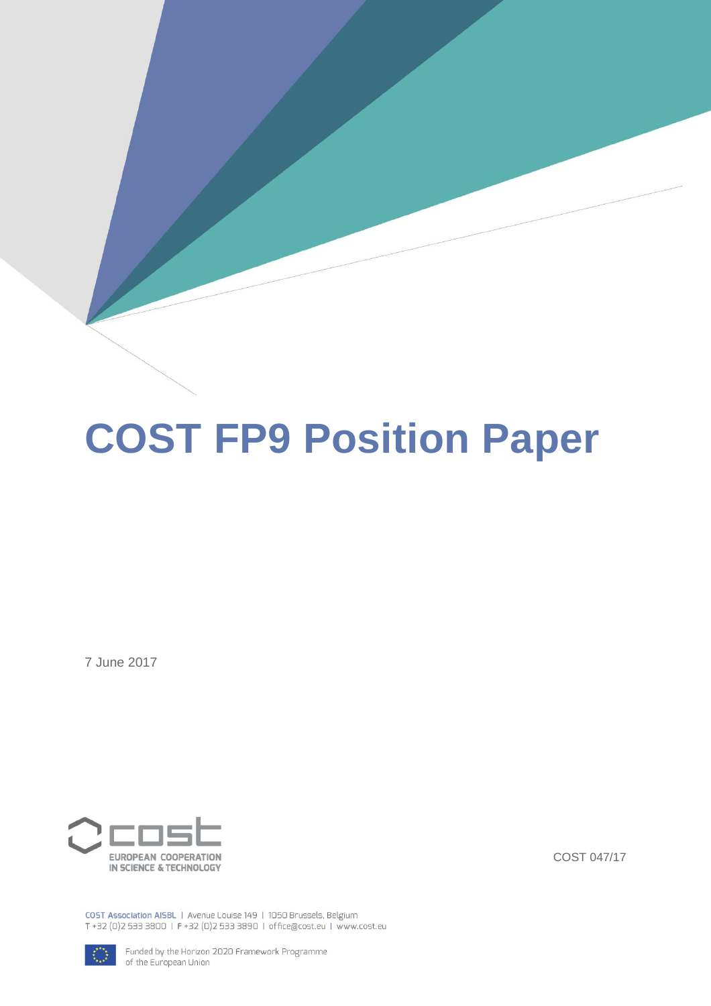# **COST FP9 Position Paper**

7 June 2017



COST 047/17

COST Association AISBL | Avenue Louise 149 | 1050 Brussels, Belgium T +32 (0)2 533 3800 | F +32 (0)2 533 3890 | office@cost.eu | www.cost.eu



Funded by the Horizon 2020 Framework Programme of the European Union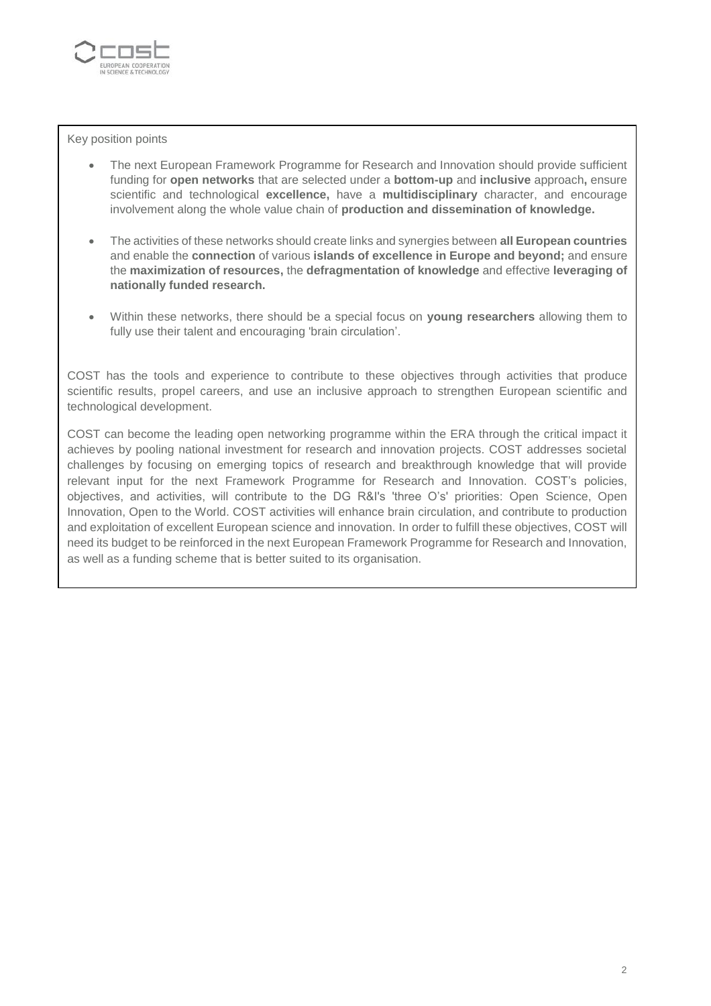

Key position points

- The next European Framework Programme for Research and Innovation should provide sufficient funding for **open networks** that are selected under a **bottom-up** and **inclusive** approach**,** ensure scientific and technological **excellence,** have a **multidisciplinary** character, and encourage involvement along the whole value chain of **production and dissemination of knowledge.**
- The activities of these networks should create links and synergies between **all European countries** and enable the **connection** of various **islands of excellence in Europe and beyond;** and ensure the **maximization of resources,** the **defragmentation of knowledge** and effective **leveraging of nationally funded research.**
- Within these networks, there should be a special focus on **young researchers** allowing them to fully use their talent and encouraging 'brain circulation'.

COST has the tools and experience to contribute to these objectives through activities that produce scientific results, propel careers, and use an inclusive approach to strengthen European scientific and technological development.

COST can become the leading open networking programme within the ERA through the critical impact it achieves by pooling national investment for research and innovation projects. COST addresses societal challenges by focusing on emerging topics of research and breakthrough knowledge that will provide relevant input for the next Framework Programme for Research and Innovation. COST's policies, objectives, and activities, will contribute to the DG R&I's 'three O's' priorities: Open Science, Open Innovation, Open to the World. COST activities will enhance brain circulation, and contribute to production and exploitation of excellent European science and innovation. In order to fulfill these objectives, COST will need its budget to be reinforced in the next European Framework Programme for Research and Innovation, as well as a funding scheme that is better suited to its organisation.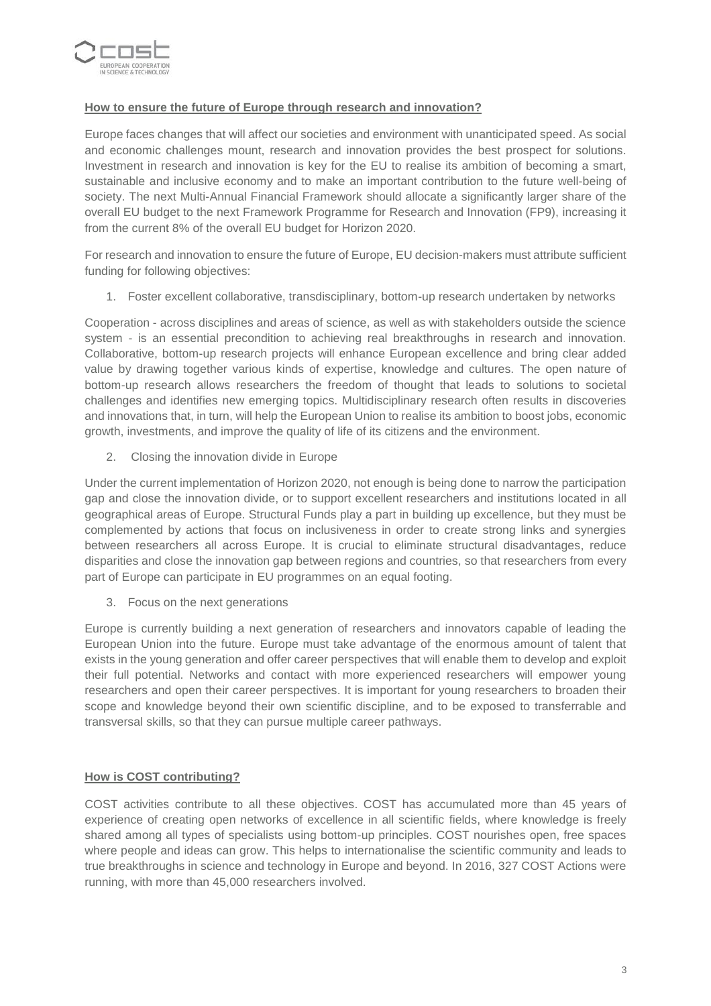

## **How to ensure the future of Europe through research and innovation?**

Europe faces changes that will affect our societies and environment with unanticipated speed. As social and economic challenges mount, research and innovation provides the best prospect for solutions. Investment in research and innovation is key for the EU to realise its ambition of becoming a smart, sustainable and inclusive economy and to make an important contribution to the future well-being of society. The next Multi-Annual Financial Framework should allocate a significantly larger share of the overall EU budget to the next Framework Programme for Research and Innovation (FP9), increasing it from the current 8% of the overall EU budget for Horizon 2020.

For research and innovation to ensure the future of Europe, EU decision-makers must attribute sufficient funding for following objectives:

1. Foster excellent collaborative, transdisciplinary, bottom-up research undertaken by networks

Cooperation - across disciplines and areas of science, as well as with stakeholders outside the science system - is an essential precondition to achieving real breakthroughs in research and innovation. Collaborative, bottom-up research projects will enhance European excellence and bring clear added value by drawing together various kinds of expertise, knowledge and cultures. The open nature of bottom-up research allows researchers the freedom of thought that leads to solutions to societal challenges and identifies new emerging topics. Multidisciplinary research often results in discoveries and innovations that, in turn, will help the European Union to realise its ambition to boost jobs, economic growth, investments, and improve the quality of life of its citizens and the environment.

2. Closing the innovation divide in Europe

Under the current implementation of Horizon 2020, not enough is being done to narrow the participation gap and close the innovation divide, or to support excellent researchers and institutions located in all geographical areas of Europe. Structural Funds play a part in building up excellence, but they must be complemented by actions that focus on inclusiveness in order to create strong links and synergies between researchers all across Europe. It is crucial to eliminate structural disadvantages, reduce disparities and close the innovation gap between regions and countries, so that researchers from every part of Europe can participate in EU programmes on an equal footing.

3. Focus on the next generations

Europe is currently building a next generation of researchers and innovators capable of leading the European Union into the future. Europe must take advantage of the enormous amount of talent that exists in the young generation and offer career perspectives that will enable them to develop and exploit their full potential. Networks and contact with more experienced researchers will empower young researchers and open their career perspectives. It is important for young researchers to broaden their scope and knowledge beyond their own scientific discipline, and to be exposed to transferrable and transversal skills, so that they can pursue multiple career pathways.

### **How is COST contributing?**

COST activities contribute to all these objectives. COST has accumulated more than 45 years of experience of creating open networks of excellence in all scientific fields, where knowledge is freely shared among all types of specialists using bottom-up principles. COST nourishes open, free spaces where people and ideas can grow. This helps to internationalise the scientific community and leads to true breakthroughs in science and technology in Europe and beyond. In 2016, 327 COST Actions were running, with more than 45,000 researchers involved.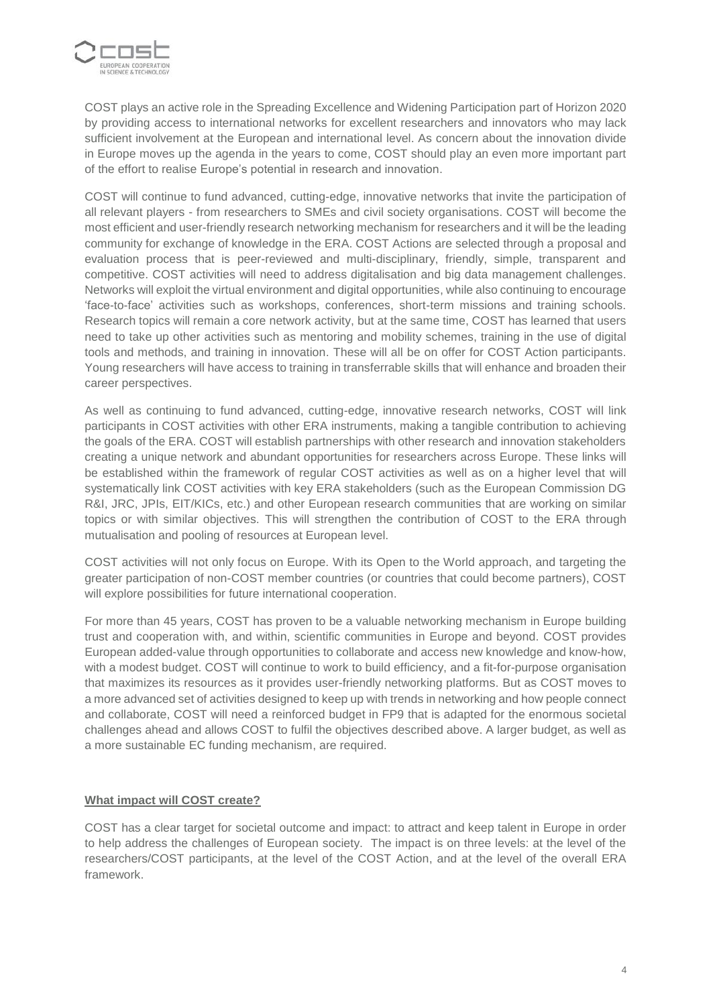

COST plays an active role in the Spreading Excellence and Widening Participation part of Horizon 2020 by providing access to international networks for excellent researchers and innovators who may lack sufficient involvement at the European and international level. As concern about the innovation divide in Europe moves up the agenda in the years to come, COST should play an even more important part of the effort to realise Europe's potential in research and innovation.

COST will continue to fund advanced, cutting-edge, innovative networks that invite the participation of all relevant players - from researchers to SMEs and civil society organisations. COST will become the most efficient and user-friendly research networking mechanism for researchers and it will be the leading community for exchange of knowledge in the ERA. COST Actions are selected through a proposal and evaluation process that is peer-reviewed and multi-disciplinary, friendly, simple, transparent and competitive. COST activities will need to address digitalisation and big data management challenges. Networks will exploit the virtual environment and digital opportunities, while also continuing to encourage 'face-to-face' activities such as workshops, conferences, short-term missions and training schools. Research topics will remain a core network activity, but at the same time, COST has learned that users need to take up other activities such as mentoring and mobility schemes, training in the use of digital tools and methods, and training in innovation. These will all be on offer for COST Action participants. Young researchers will have access to training in transferrable skills that will enhance and broaden their career perspectives.

As well as continuing to fund advanced, cutting-edge, innovative research networks, COST will link participants in COST activities with other ERA instruments, making a tangible contribution to achieving the goals of the ERA. COST will establish partnerships with other research and innovation stakeholders creating a unique network and abundant opportunities for researchers across Europe. These links will be established within the framework of regular COST activities as well as on a higher level that will systematically link COST activities with key ERA stakeholders (such as the European Commission DG R&I, JRC, JPIs, EIT/KICs, etc.) and other European research communities that are working on similar topics or with similar objectives. This will strengthen the contribution of COST to the ERA through mutualisation and pooling of resources at European level.

COST activities will not only focus on Europe. With its Open to the World approach, and targeting the greater participation of non-COST member countries (or countries that could become partners), COST will explore possibilities for future international cooperation.

For more than 45 years, COST has proven to be a valuable networking mechanism in Europe building trust and cooperation with, and within, scientific communities in Europe and beyond. COST provides European added-value through opportunities to collaborate and access new knowledge and know-how, with a modest budget. COST will continue to work to build efficiency, and a fit-for-purpose organisation that maximizes its resources as it provides user-friendly networking platforms. But as COST moves to a more advanced set of activities designed to keep up with trends in networking and how people connect and collaborate, COST will need a reinforced budget in FP9 that is adapted for the enormous societal challenges ahead and allows COST to fulfil the objectives described above. A larger budget, as well as a more sustainable EC funding mechanism, are required.

### **What impact will COST create?**

COST has a clear target for societal outcome and impact: to attract and keep talent in Europe in order to help address the challenges of European society. The impact is on three levels: at the level of the researchers/COST participants, at the level of the COST Action, and at the level of the overall ERA framework.